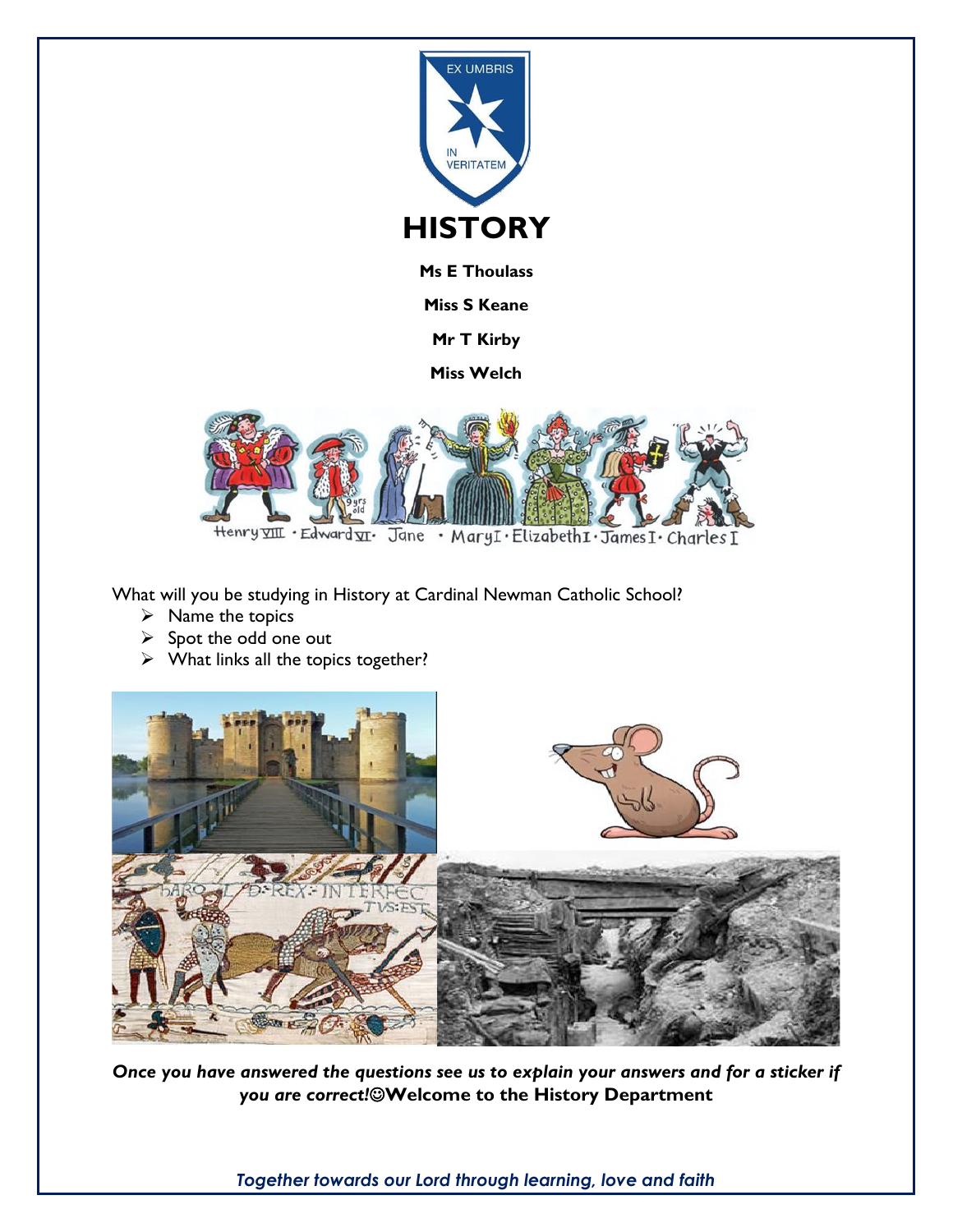

**Ms E Thoulass**

**Miss S Keane**

**Mr T Kirby**

**Miss Welch**



What will you be studying in History at Cardinal Newman Catholic School?

- $\triangleright$  Name the topics
- $\triangleright$  Spot the odd one out
- $\triangleright$  What links all the topics together?



*Once you have answered the questions see us to explain your answers and for a sticker if you are correct!*☺**Welcome to the History Department**

*Together towards our Lord through learning, love and faith*